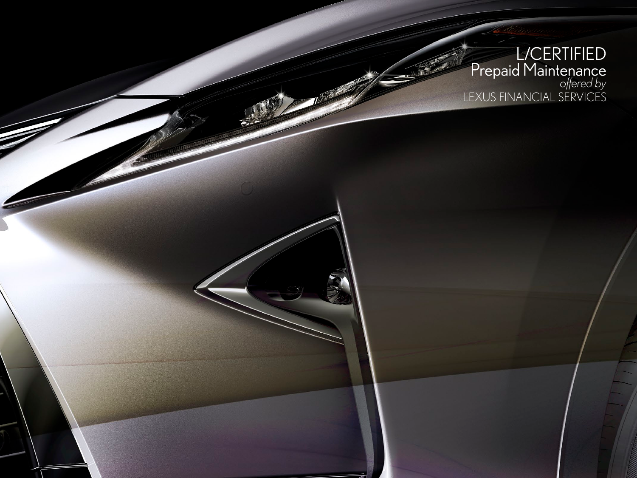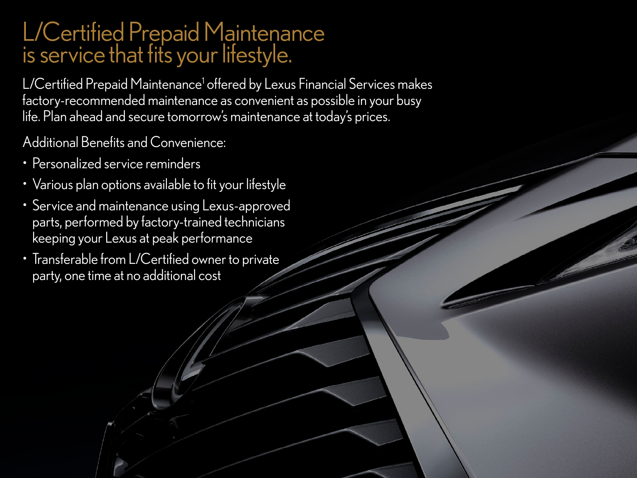## L/Certified Prepaid Maintenance is service that fits your lifestyle.

L/Certified Prepaid Maintenance<sup>1</sup> offered by Lexus Financial Services makes factory-recommended maintenance as convenient as possible in your busy life. Plan ahead and secure tomorrow's maintenance at today's prices.

Additional Benefits and Convenience:

- Personalized service reminders
- Various plan options available to fit your lifestyle
- Service and maintenance using Lexus-approved parts, performed by factory-trained technicians keeping your Lexus at peak performance
- Transferable from L/Certified owner to private party, one time at no additional cost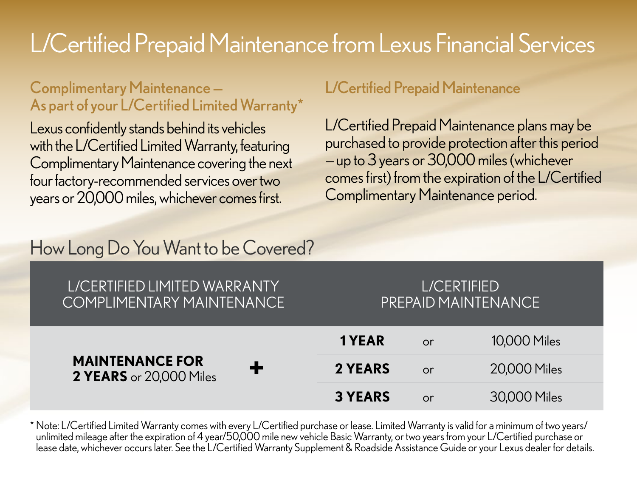# L/Certified Prepaid Maintenance from Lexus Financial Services

#### Complimentary Maintenance — As part of your L/Certified Limited Warranty\*

Lexus confidently stands behind its vehicles with the L/Certified Limited Warranty, featuring Complimentary Maintenance covering the next four factory-recommended services over two years or 20,000 miles, whichever comes first.

#### L/Certified Prepaid Maintenance

L/Certified Prepaid Maintenance plans may be purchased to provide protection after this period — up to 3 years or 30,000 miles (whichever comes first) from the expiration of the L/Certified Complimentary Maintenance period.

### How Long Do You Want to be Covered?

#### L/CERTIFIED LIMITED WARRANTY COMPLIMENTARY MAINTENANCE

#### L/CERTIFIED PREPAID MAINTENANCE

| <b>MAINTENANCE FOR</b><br>┹<br>2 YEARS or 20,000 Miles | 1 YEAR         | <b>or</b> | 10,000 Miles |
|--------------------------------------------------------|----------------|-----------|--------------|
|                                                        | 2 YEARS        | <b>or</b> | 20,000 Miles |
|                                                        | <b>3 YEARS</b> | <b>or</b> | 30,000 Miles |

\* Note: L/Certified Limited Warranty comes with every L/Certified purchase or lease. Limited Warranty is valid for a minimum of two years/ unlimited mileage after the expiration of 4 year/50,000 mile new vehicle Basic Warranty, or two years from your L/Certified purchase or lease date, whichever occurs later. See the L/Certified Warranty Supplement & Roadside Assistance Guide or your Lexus dealer for details.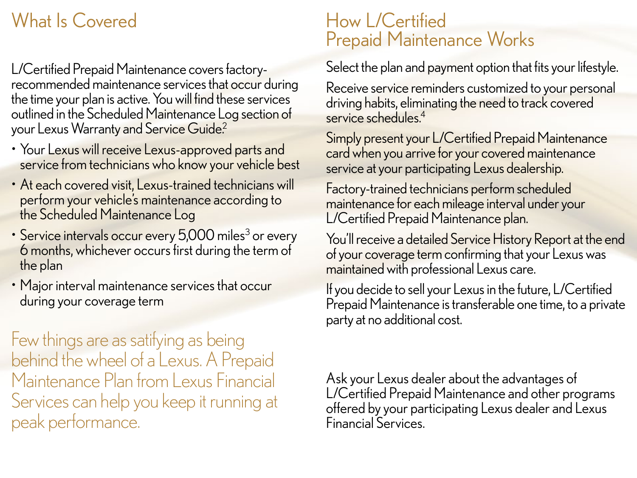### What Is Covered

L/Certified Prepaid Maintenance covers factoryrecommended maintenance services that occur during the time your plan is active. You will find these services outlined in the Scheduled Maintenance Log section of your Lexus Warranty and Service Guide<sup>2</sup>

- Your Lexus will receive Lexus-approved parts and service from technicians who know your vehicle best
- At each covered visit, Lexus-trained technicians will perform your vehicle's maintenance according to the Scheduled Maintenance Log
- Service intervals occur every 5,000 miles<sup>3</sup> or every 6 months, whichever occurs first during the term of the plan
- Major interval maintenance services that occur during your coverage term

Few things are as satifying as being behind the wheel of a Lexus. A Prepaid Maintenance Plan from Lexus Financial Services can help you keep it running at peak performance.

#### How L/Certified Prepaid Maintenance Works

Select the plan and payment option that fits your lifestyle.

Receive service reminders customized to your personal driving habits, eliminating the need to track covered service schedules<sup>4</sup>

Simply present your L/Certified Prepaid Maintenance card when you arrive for your covered maintenance service at your participating Lexus dealership.

Factory-trained technicians perform scheduled maintenance for each mileage interval under your L/Certified Prepaid Maintenance plan.

You'll receive a detailed Service History Report at the end of your coverage term confirming that your Lexus was maintained with professional Lexus care.

If you decide to sell your Lexus in the future, L/Certified Prepaid Maintenance is transferable one time, to a private party at no additional cost.

Ask your Lexus dealer about the advantages of L/Certified Prepaid Maintenance and other programs offered by your participating Lexus dealer and Lexus Financial Services.